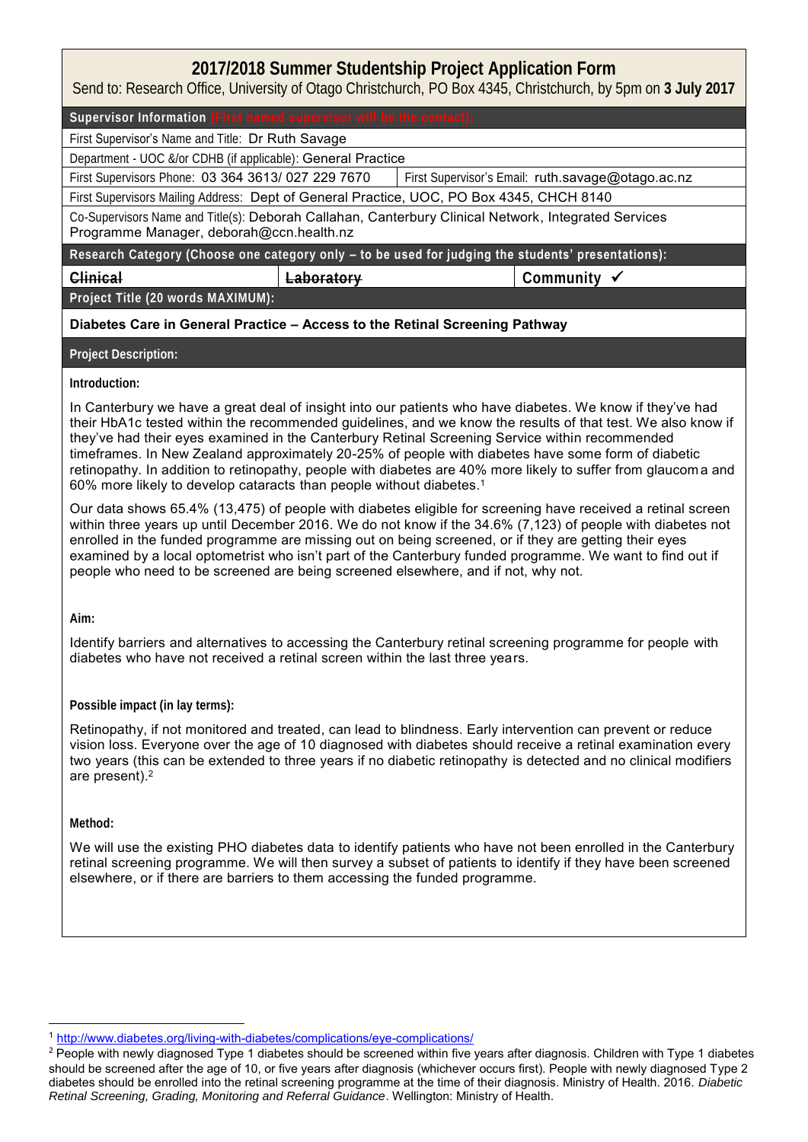# **2017/2018 Summer Studentship Project Application Form**

Send to: Research Office, University of Otago Christchurch, PO Box 4345, Christchurch, by 5pm on **3 July 2017**

Supervisor Information

First Supervisor's Name and Title: Dr Ruth Savage

Department - UOC &/or CDHB (if applicable): General Practice

First Supervisors Phone: 03 364 3613/ 027 229 7670 First Supervisor's Email: ruth.savage@otago.ac.nz

First Supervisors Mailing Address: Dept of General Practice, UOC, PO Box 4345, CHCH 8140

Co-Supervisors Name and Title(s): Deborah Callahan, Canterbury Clinical Network, Integrated Services Programme Manager, deborah@ccn.health.nz

**Research Category (Choose one category only – to be used for judging the students' presentations):**

**Clinical Laboratory Community** 

**Project Title (20 words MAXIMUM):**

### **Diabetes Care in General Practice – Access to the Retinal Screening Pathway**

**Project Description:**

#### **Introduction:**

In Canterbury we have a great deal of insight into our patients who have diabetes. We know if they've had their HbA1c tested within the recommended guidelines, and we know the results of that test. We also know if they've had their eyes examined in the Canterbury Retinal Screening Service within recommended timeframes. In New Zealand approximately 20-25% of people with diabetes have some form of diabetic retinopathy. In addition to retinopathy, people with diabetes are 40% more likely to suffer from glaucom a and 60% more likely to develop cataracts than people without diabetes.<sup>1</sup>

Our data shows 65.4% (13,475) of people with diabetes eligible for screening have received a retinal screen within three years up until December 2016. We do not know if the 34.6% (7,123) of people with diabetes not enrolled in the funded programme are missing out on being screened, or if they are getting their eyes examined by a local optometrist who isn't part of the Canterbury funded programme. We want to find out if people who need to be screened are being screened elsewhere, and if not, why not.

**Aim:**

Identify barriers and alternatives to accessing the Canterbury retinal screening programme for people with diabetes who have not received a retinal screen within the last three years.

#### **Possible impact (in lay terms):**

Retinopathy, if not monitored and treated, can lead to blindness. Early intervention can prevent or reduce vision loss. Everyone over the age of 10 diagnosed with diabetes should receive a retinal examination every two years (this can be extended to three years if no diabetic retinopathy is detected and no clinical modifiers are present).<sup>2</sup>

**Method:**

**.** 

We will use the existing PHO diabetes data to identify patients who have not been enrolled in the Canterbury retinal screening programme. We will then survey a subset of patients to identify if they have been screened elsewhere, or if there are barriers to them accessing the funded programme.

<sup>1</sup> <http://www.diabetes.org/living-with-diabetes/complications/eye-complications/>

<sup>&</sup>lt;sup>2</sup> People with newly diagnosed Type 1 diabetes should be screened within five years after diagnosis. Children with Type 1 diabetes should be screened after the age of 10, or five years after diagnosis (whichever occurs first). People with newly diagnosed Type 2 diabetes should be enrolled into the retinal screening programme at the time of their diagnosis. Ministry of Health. 2016. *Diabetic Retinal Screening, Grading, Monitoring and Referral Guidance*. Wellington: Ministry of Health.